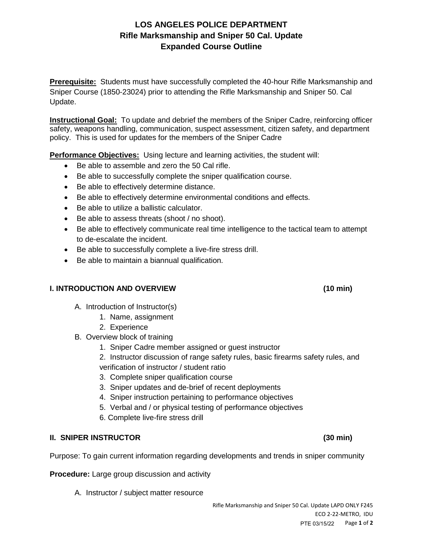# **LOS ANGELES POLICE DEPARTMENT Rifle Marksmanship and Sniper 50 Cal. Update Expanded Course Outline**

**Prerequisite:** Students must have successfully completed the 40-hour Rifle Marksmanship and Sniper Course (1850-23024) prior to attending the Rifle Marksmanship and Sniper 50. Cal Update.

**Instructional Goal:** To update and debrief the members of the Sniper Cadre, reinforcing officer safety, weapons handling, communication, suspect assessment, citizen safety, and department policy. This is used for updates for the members of the Sniper Cadre

**Performance Objectives:** Using lecture and learning activities, the student will:

- Be able to assemble and zero the 50 Cal rifle.
- Be able to successfully complete the sniper qualification course.
- Be able to effectively determine distance.
- Be able to effectively determine environmental conditions and effects.
- Be able to utilize a ballistic calculator.
- Be able to assess threats (shoot / no shoot).
- Be able to effectively communicate real time intelligence to the tactical team to attempt to de-escalate the incident.
- Be able to successfully complete a live-fire stress drill.
- Be able to maintain a biannual qualification.

#### **I. INTRODUCTION AND OVERVIEW (10 min)**

- A. Introduction of Instructor(s)
	- 1. Name, assignment
	- 2. Experience
- B. Overview block of training
	- 1. Sniper Cadre member assigned or guest instructor
	- 2. Instructor discussion of range safety rules, basic firearms safety rules, and verification of instructor / student ratio
	- 3. Complete sniper qualification course
	- 3. Sniper updates and de-brief of recent deployments
	- 4. Sniper instruction pertaining to performance objectives
	- 5. Verbal and / or physical testing of performance objectives
	- 6. Complete live-fire stress drill

#### **II. SNIPER INSTRUCTOR (30 min)**

Purpose: To gain current information regarding developments and trends in sniper community

**Procedure:** Large group discussion and activity

A. Instructor / subject matter resource